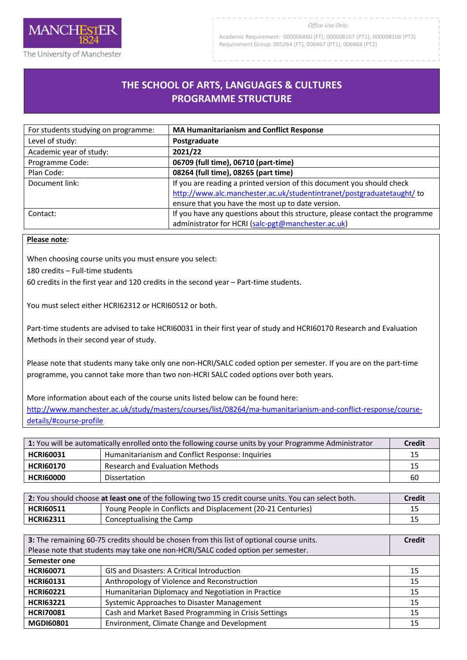

The University of Manchester

Academic Requirement: 000006860 (FT), 000008167 (PT1), 000008168 (PT2) Requirement Group: 005264 (FT), 006467 (PT1), 006468 (PT2)

## **THE SCHOOL OF ARTS, LANGUAGES & CULTURES PROGRAMME STRUCTURE**

| For students studying on programme: | <b>MA Humanitarianism and Conflict Response</b>                                                                                                                                                       |
|-------------------------------------|-------------------------------------------------------------------------------------------------------------------------------------------------------------------------------------------------------|
| Level of study:                     | Postgraduate                                                                                                                                                                                          |
| Academic year of study:             | 2021/22                                                                                                                                                                                               |
| Programme Code:                     | 06709 (full time), 06710 (part-time)                                                                                                                                                                  |
| Plan Code:                          | 08264 (full time), 08265 (part time)                                                                                                                                                                  |
| Document link:                      | If you are reading a printed version of this document you should check<br>http://www.alc.manchester.ac.uk/studentintranet/postgraduatetaught/ to<br>ensure that you have the most up to date version. |
| Contact:                            | If you have any questions about this structure, please contact the programme<br>administrator for HCRI (salc-pgt@manchester.ac.uk)                                                                    |

## **Please note**:

When choosing course units you must ensure you select:

180 credits – Full-time students

60 credits in the first year and 120 credits in the second year – Part-time students.

You must select either HCRI62312 or HCRI60512 or both.

Part-time students are advised to take HCRI60031 in their first year of study and HCRI60170 Research and Evaluation Methods in their second year of study.

Please note that students many take only one non-HCRI/SALC coded option per semester. If you are on the part-time programme, you cannot take more than two non-HCRI SALC coded options over both years.

More information about each of the course units listed below can be found here: [http://www.manchester.ac.uk/study/masters/courses/list/08264/ma-humanitarianism-and-conflict-response/course](http://www.manchester.ac.uk/study/masters/courses/list/08264/ma-humanitarianism-and-conflict-response/course-details/#course-profile)[details/#course-profile](http://www.manchester.ac.uk/study/masters/courses/list/08264/ma-humanitarianism-and-conflict-response/course-details/#course-profile)

| 1: You will be automatically enrolled onto the following course units by your Programme Administrator |                                                  | <b>Credit</b> |
|-------------------------------------------------------------------------------------------------------|--------------------------------------------------|---------------|
| <b>HCRI60031</b>                                                                                      | Humanitarianism and Conflict Response: Inquiries | 15            |
| <b>HCRI60170</b>                                                                                      | <b>Research and Evaluation Methods</b>           | 15            |
| <b>HCRI60000</b>                                                                                      | <b>Dissertation</b>                              | 60            |

| 2: You should choose at least one of the following two 15 credit course units. You can select both. |                                                              | Credit |
|-----------------------------------------------------------------------------------------------------|--------------------------------------------------------------|--------|
| <b>HCRI60511</b>                                                                                    | Young People in Conflicts and Displacement (20-21 Centuries) |        |
| <b>HCRI62311</b>                                                                                    | Conceptualising the Camp                                     |        |

| 3: The remaining 60-75 credits should be chosen from this list of optional course units. |                                                      | <b>Credit</b> |
|------------------------------------------------------------------------------------------|------------------------------------------------------|---------------|
| Please note that students may take one non-HCRI/SALC coded option per semester.          |                                                      |               |
| Semester one                                                                             |                                                      |               |
| <b>HCRI60071</b>                                                                         | <b>GIS and Disasters: A Critical Introduction</b>    | 15            |
| <b>HCRI60131</b>                                                                         | Anthropology of Violence and Reconstruction          | 15            |
| <b>HCRI60221</b>                                                                         | Humanitarian Diplomacy and Negotiation in Practice   | 15            |
| <b>HCRI63221</b>                                                                         | Systemic Approaches to Disaster Management           | 15            |
| <b>HCRI70081</b>                                                                         | Cash and Market Based Programming in Crisis Settings | 15            |
| <b>MGDI60801</b>                                                                         | Environment, Climate Change and Development          | 15            |